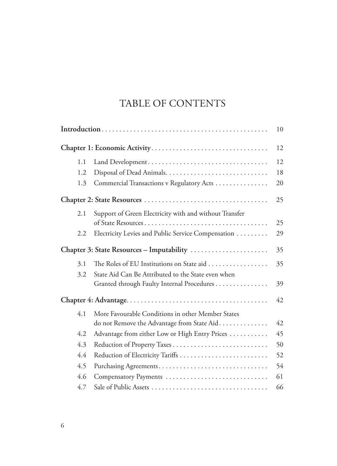## TABLE OF CONTENTS

|      |                                                                                | 10 |
|------|--------------------------------------------------------------------------------|----|
|      |                                                                                | 12 |
| 1.1  |                                                                                | 12 |
| 1.2. |                                                                                | 18 |
| 1.3  | Commercial Transactions v Regulatory Acts                                      | 20 |
|      |                                                                                | 25 |
| 2.1  | Support of Green Electricity with and without Transfer                         |    |
|      | of State Resources                                                             | 25 |
| 2.2  | Electricity Levies and Public Service Compensation                             | 29 |
|      |                                                                                | 35 |
| 3.1  | The Roles of EU Institutions on State aid $\ldots \ldots \ldots \ldots \ldots$ | 35 |
| 3.2  | State Aid Can Be Attributed to the State even when                             |    |
|      | Granted through Faulty Internal Procedures                                     | 39 |
|      |                                                                                | 42 |
| 4.1  | More Favourable Conditions in other Member States                              |    |
|      | do not Remove the Advantage from State Aid                                     | 42 |
| 4.2  | Advantage from either Low or High Entry Prices                                 | 45 |
| 4.3  |                                                                                | 50 |
| 4.4  | Reduction of Electricity Tariffs                                               | 52 |
| 4.5  |                                                                                | 54 |
| 4.6  | Compensatory Payments                                                          | 61 |
| 4.7  |                                                                                | 66 |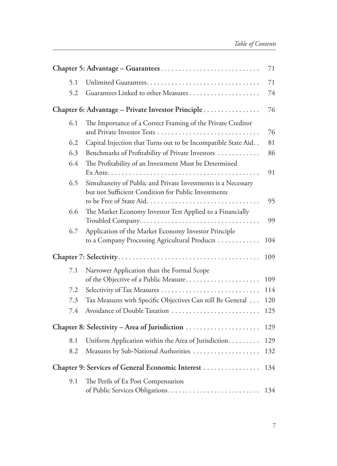|                                                   |                                                                  | 71  |
|---------------------------------------------------|------------------------------------------------------------------|-----|
| 5.1                                               |                                                                  | 71  |
| 5.2                                               |                                                                  | 74  |
| Chapter 6: Advantage – Private Investor Principle |                                                                  |     |
| 6.1                                               | The Importance of a Correct Framing of the Private Creditor      |     |
|                                                   |                                                                  | 76  |
| 6.2                                               | Capital Injection that Turns out to be Incompatible State Aid. . | 81  |
| 6.3                                               | Benchmarks of Profitability of Private Investors                 | 86  |
| 6.4                                               | The Profitability of an Investment Must be Determined            |     |
|                                                   |                                                                  | 91  |
| 6.5                                               | Simultaneity of Public and Private Investments is a Necessary    |     |
|                                                   | but not Sufficient Condition for Public Investments              |     |
|                                                   | to be Free of State Aid                                          | 95  |
| 6.6                                               | The Market Economy Investor Test Applied to a Financially        |     |
|                                                   |                                                                  | 99  |
| 6.7                                               | Application of the Market Economy Investor Principle             |     |
|                                                   | to a Company Processing Agricultural Products                    | 104 |
|                                                   |                                                                  |     |
| 7.1                                               | Narrower Application than the Formal Scope                       |     |
|                                                   | of the Objective of a Public Measure                             | 109 |
| 7.2                                               |                                                                  | 114 |
| 7.3                                               | Tax Measures with Specific Objectives Can still Be General       | 120 |
| 7.4                                               | Avoidance of Double Taxation                                     | 125 |
|                                                   |                                                                  |     |
| 8.1                                               | Uniform Application within the Area of Jurisdiction.             | 129 |
| 8.2                                               | Measures by Sub-National Authorities                             | 132 |
| Chapter 9: Services of General Economic Interest  |                                                                  |     |
| 9.1                                               | The Perils of Ex Post Compensation                               | 134 |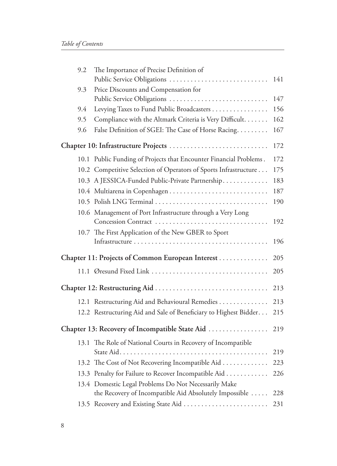| 9.2                                              | The Importance of Precise Definition of                            |     |
|--------------------------------------------------|--------------------------------------------------------------------|-----|
|                                                  | Public Service Obligations                                         | 141 |
| 9.3                                              | Price Discounts and Compensation for                               |     |
|                                                  | Public Service Obligations                                         | 147 |
| 9.4                                              | Levying Taxes to Fund Public Broadcasters                          | 156 |
| 9.5                                              | Compliance with the Altmark Criteria is Very Difficult.            | 162 |
| 9.6                                              | False Definition of SGEI: The Case of Horse Racing.                | 167 |
|                                                  | Chapter 10: Infrastructure Projects                                | 172 |
|                                                  | 10.1 Public Funding of Projects that Encounter Financial Problems. | 172 |
|                                                  | 10.2 Competitive Selection of Operators of Sports Infrastructure   | 175 |
|                                                  | 10.3 A JESSICA-Funded Public-Private Partnership.                  | 183 |
|                                                  |                                                                    | 187 |
|                                                  | 10.5 Polish LNG Terminal                                           | 190 |
|                                                  | 10.6 Management of Port Infrastructure through a Very Long         |     |
|                                                  |                                                                    | 192 |
|                                                  | 10.7 The First Application of the New GBER to Sport                |     |
|                                                  |                                                                    | 196 |
| Chapter 11: Projects of Common European Interest |                                                                    |     |
|                                                  | 11.1 Øresund Fixed Link                                            | 205 |
|                                                  |                                                                    | 213 |
|                                                  | 12.1 Restructuring Aid and Behavioural Remedies                    | 213 |
|                                                  | 12.2 Restructuring Aid and Sale of Beneficiary to Highest Bidder   | 215 |
|                                                  | Chapter 13: Recovery of Incompatible State Aid                     | 219 |
|                                                  |                                                                    |     |
|                                                  | 13.1 The Role of National Courts in Recovery of Incompatible       | 219 |
|                                                  | 13.2 The Cost of Not Recovering Incompatible Aid                   | 223 |
|                                                  | 13.3 Penalty for Failure to Recover Incompatible Aid               | 226 |
|                                                  | 13.4 Domestic Legal Problems Do Not Necessarily Make               |     |
|                                                  | the Recovery of Incompatible Aid Absolutely Impossible             | 228 |
|                                                  |                                                                    | 231 |
|                                                  |                                                                    |     |